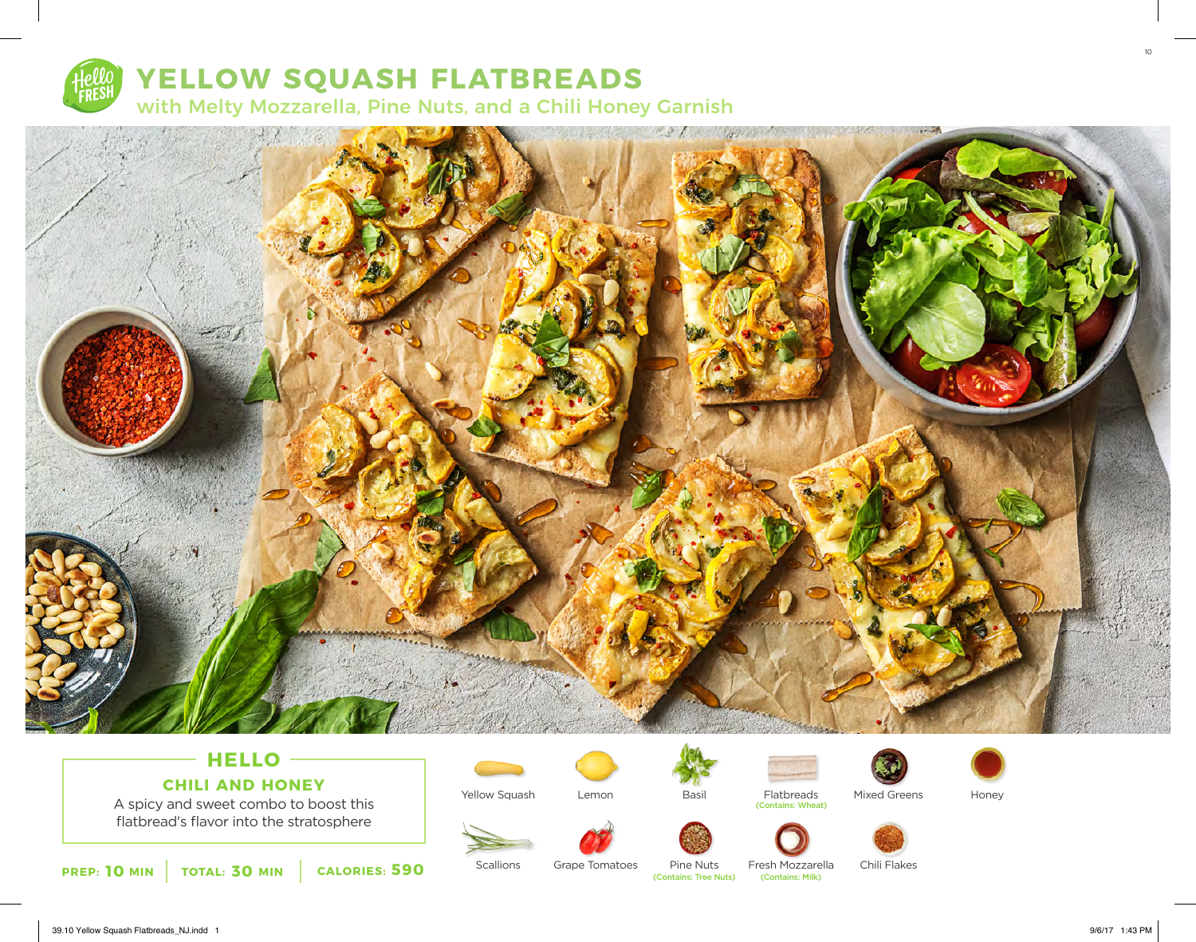

## **YELLOW SQUASH FLATBREADS**

with Melty Mozzarella, Pine Nuts, and a Chili Honey Garnish



## **HELLO CHILI AND HONEY**

A spicy and sweet combo to boost this flatbread's flavor into the stratosphere



**Scallions** 

Yellow Squash





Flatbreads (Contains: Wheat)





Honey



Pine Nuts<br>(Contains: Tree Nuts)

Fresh Mozzarella<br>(Contains: Milk)

Chili Flakes



10